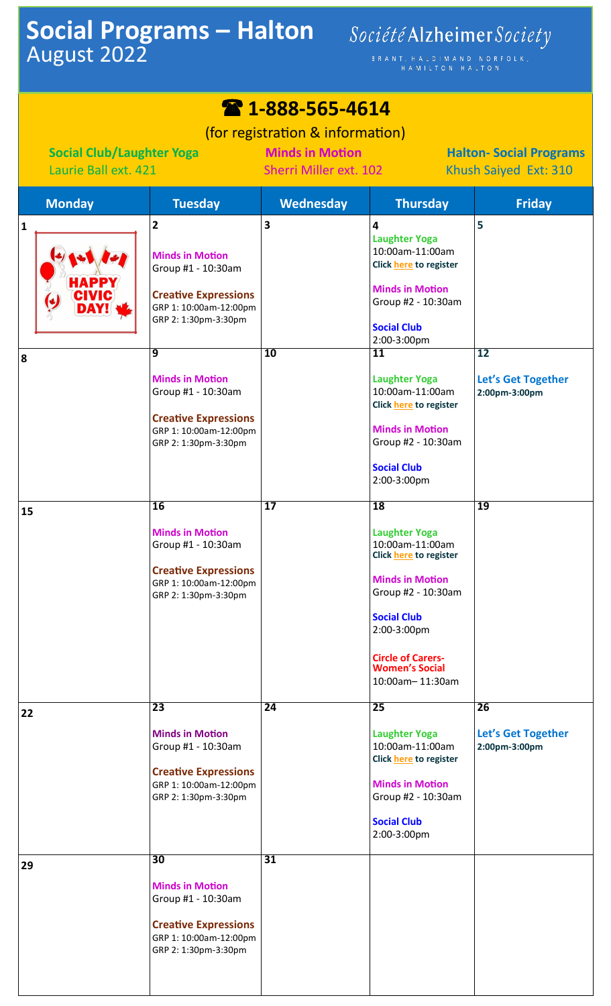## **Social Programs – Halton** August 2022

## Société Alzheimer Society

BRANT, HALDIMAND NORFOLK,<br>HAMILTON HALTON

| 2 1-888-565-4614                                                                           |                                                                                                                                                                                                                                                                                       |                                                                                                                                                |                                                                                                                                                                                                                                                                                                                             |                                                |
|--------------------------------------------------------------------------------------------|---------------------------------------------------------------------------------------------------------------------------------------------------------------------------------------------------------------------------------------------------------------------------------------|------------------------------------------------------------------------------------------------------------------------------------------------|-----------------------------------------------------------------------------------------------------------------------------------------------------------------------------------------------------------------------------------------------------------------------------------------------------------------------------|------------------------------------------------|
| <b>Social Club/Laughter Yoga</b><br>Laurie Ball ext. 421                                   |                                                                                                                                                                                                                                                                                       | (for registration & information)<br><b>Minds in Motion</b><br><b>Halton-Social Programs</b><br>Sherri Miller ext. 102<br>Khush Saiyed Ext: 310 |                                                                                                                                                                                                                                                                                                                             |                                                |
| <b>Monday</b>                                                                              | <b>Tuesday</b>                                                                                                                                                                                                                                                                        | <b>Wednesday</b>                                                                                                                               | <b>Thursday</b>                                                                                                                                                                                                                                                                                                             | <b>Friday</b>                                  |
| $\mathbf{1}$<br><b>HAPPY</b><br><b>CIVIC</b><br>$\left(\bullet\right)$<br><b>DAY!</b><br>8 | $\overline{2}$<br><b>Minds in Motion</b><br>Group #1 - 10:30am<br><b>Creative Expressions</b><br>GRP 1: 10:00am-12:00pm<br>GRP 2: 1:30pm-3:30pm<br>9<br><b>Minds in Motion</b><br>Group #1 - 10:30am<br><b>Creative Expressions</b><br>GRP 1: 10:00am-12:00pm<br>GRP 2: 1:30pm-3:30pm | 3<br>10                                                                                                                                        | 4<br><b>Laughter Yoga</b><br>10:00am-11:00am<br>Click here to register<br><b>Minds in Motion</b><br>Group #2 - 10:30am<br><b>Social Club</b><br>2:00-3:00pm<br>11<br><b>Laughter Yoga</b><br>10:00am-11:00am<br>Click here to register<br><b>Minds in Motion</b><br>Group #2 - 10:30am<br><b>Social Club</b><br>2:00-3:00pm | 5<br>12<br>Let's Get Together<br>2:00pm-3:00pm |
| 15                                                                                         | $\overline{16}$<br><b>Minds in Motion</b><br>Group #1 - 10:30am<br><b>Creative Expressions</b><br>GRP 1: 10:00am-12:00pm<br>GRP 2: 1:30pm-3:30pm                                                                                                                                      | $\overline{17}$                                                                                                                                | <b>18</b><br><b>Laughter Yoga</b><br>10:00am-11:00am<br><b>Click here to register</b><br><b>Minds in Motion</b><br>Group #2 - 10:30am<br><b>Social Club</b><br>2:00-3:00pm<br><b>Circle of Carers-</b><br><b>Women's Social</b><br>10:00am-11:30am                                                                          | $\overline{19}$                                |
| 22                                                                                         | $\overline{23}$<br><b>Minds in Motion</b><br>Group #1 - 10:30am<br><b>Creative Expressions</b><br>GRP 1: 10:00am-12:00pm<br>GRP 2: 1:30pm-3:30pm                                                                                                                                      | 24                                                                                                                                             | 25<br><b>Laughter Yoga</b><br>10:00am-11:00am<br>Click here to register<br><b>Minds in Motion</b><br>Group #2 - 10:30am<br><b>Social Club</b><br>2:00-3:00pm                                                                                                                                                                | 26<br>Let's Get Together<br>2:00pm-3:00pm      |
| 29                                                                                         | 30<br><b>Minds in Motion</b><br>Group #1 - 10:30am<br><b>Creative Expressions</b><br>GRP 1: 10:00am-12:00pm<br>GRP 2: 1:30pm-3:30pm                                                                                                                                                   | 31                                                                                                                                             |                                                                                                                                                                                                                                                                                                                             |                                                |